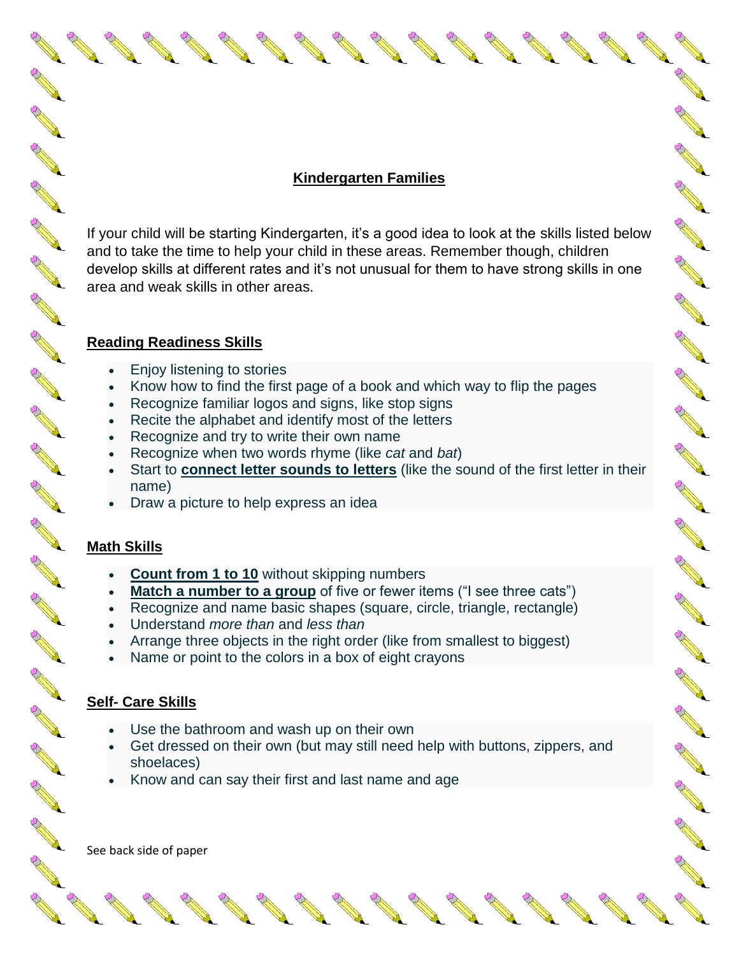## **Kindergarten Families**

**RANT** 

No recent de

A RIVER

No recent de

**ANTI** 

A A R

AND ROAD

**CONTROLLER** 

Contract of the

AND TO BE A PARTICULAR OF

No. of the case of the con-

A March 19

Article of the contract of the contract of the contract of the contract of the contract of the contract of the

A REA

AND A

If your child will be starting Kindergarten, it's a good idea to look at the skills listed below and to take the time to help your child in these areas. Remember though, children develop skills at different rates and it's not unusual for them to have strong skills in one area and weak skills in other areas.

#### **Reading Readiness Skills**

- Enjoy listening to stories
- Know how to find the first page of a book and which way to flip the pages
- Recognize familiar logos and signs, like stop signs
- Recite the alphabet and identify most of the letters
- Recognize and try to write their own name
- Recognize when two words rhyme (like *cat* and *bat*)
- Start to **[connect letter sounds to letters](https://www.understood.org/en/learning-thinking-differences/child-learning-disabilities/reading-issues/phonological-awareness-what-it-is-and-how-it-works)** (like the sound of the first letter in their name)
- Draw a picture to help express an idea

## **Math Skills**

**ANTI** 

A A A

**ANTI** 

**ANTI** 

**ANTI** 

**ANTICOLOGICAL REPORT** 

**AND R** 

**ANTICOLOGICAL CONTENTION CONTENTION CONTENTION CONTENTION CONTENTION CONTENTION CONTENTION CONTENTION CONTENTION CONTENTION CONTENTION CONTENTION CONTENTION CONTENTION CONTENTION CONTENTION CONTENTION CONTENTION CONTENTIO** 

**ANTI** 

**ANTICOLOGICAL COMPANY** 

**ANTICOLOGICAL REPORT** 

**ANTI** 

**ANTICOLOGICAL REPORT** 

**ANTICOLLECTION** 

**ANTICOLOGICAL COMPANY** 

**ANTICOLOGICAL REPORT** 

**ANTICOLOGICAL COMPANY** 

**ANTICOLOGICAL REPORT** 

**RANCISCO** 

COMPARTMENT

- **[Count from 1 to 10](https://www.understood.org/en/learning-thinking-differences/child-learning-disabilities/dyscalculia/why-is-my-child-having-difficulty-counting)** without skipping numbers
- [Match a number to a group](https://www.understood.org/en/learning-thinking-differences/child-learning-disabilities/math-issues/number-sense-what-you-need-to-know) of five or fewer items ("I see three cats")
- Recognize and name basic shapes (square, circle, triangle, rectangle)
- Understand *more than* and *less than*
- Arrange three objects in the right order (like from smallest to biggest)
- Name or point to the colors in a box of eight crayons

## **Self- Care Skills**

- Use the bathroom and wash up on their own
- Get dressed on their own (but may still need help with buttons, zippers, and shoelaces)
- Know and can say their first and last name and age

See back side of paper